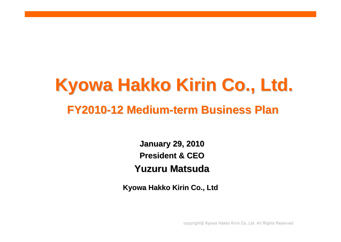## **Kyowa Hakko Kirin Co., Ltd. Kyowa Hakko Kirin Co., Ltd. FY2010-12Medium-term Business Plan term Business Plan**

**January 29, 2010 January 29, 2010 President & CEO President & CEOYuzuru Matsuda Yuzuru Matsuda**

**Kyowa Hakko Kirin Co., Ltd Kyowa Hakko Kirin Co., Ltd**

copyright© Kyowa Hakko Kirin Co., Ltd. All Rights Reserved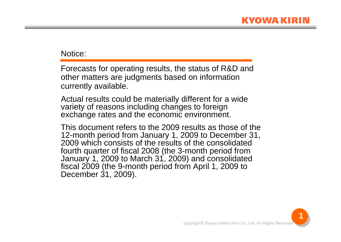## Notice:

Forecasts for operating results, the status of R&D and other matters are judgments based on information currently available.

Actual results could be materially different for a wide variety of reasons including changes to foreign exchange rates and the economic environment.

This document refers to the 2009 results as those of the 12-month period from January 1, 2009 to December 31, 2009 which consists of the results of the consolidated fourth quarter of fiscal 2008 (the 3-month period from January 1, 2009 to March 31, 2009) and consolidated fiscal 2009 (the 9-month period from April 1, 2009 to December 31, 2009).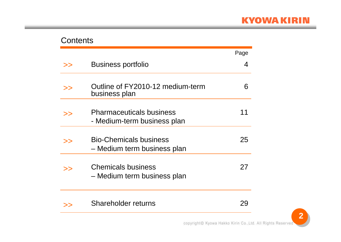## Contents

|    |                                                                | Page |
|----|----------------------------------------------------------------|------|
| >> | <b>Business portfolio</b>                                      | 4    |
| >> | Outline of FY2010-12 medium-term<br>business plan              | 6    |
| >> | <b>Pharmaceuticals business</b><br>- Medium-term business plan |      |
| >> | <b>Bio-Chemicals business</b><br>- Medium term business plan   | 25   |
| >> | <b>Chemicals business</b><br>- Medium term business plan       | 27   |
| >> | Shareholder returns                                            |      |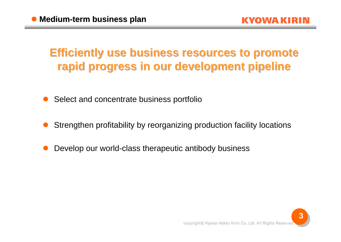## **Efficiently use business resources to promote rapid progress in our development pipeline rapid progress in our development pipeline**

- $\bullet$ Select and concentrate business portfolio
- $\bullet$ Strengthen profitability by reorganizing production facility locations
- $\bullet$ Develop our world-class therapeutic antibody business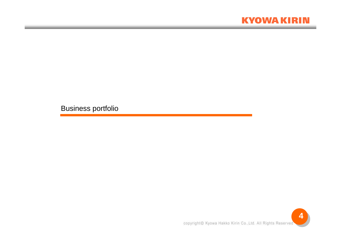## **KYOWA KIRIN**

Business portfolio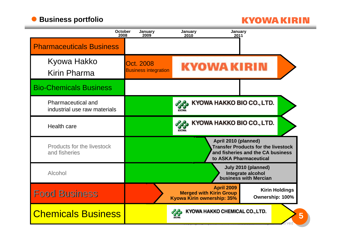## **• Business portfolio**

## **KYOWA KIRIN**

| October<br>2008                                           | January<br>2009                          | January<br>January<br>2010<br>2011                                                |                                                                                                           |
|-----------------------------------------------------------|------------------------------------------|-----------------------------------------------------------------------------------|-----------------------------------------------------------------------------------------------------------|
| <b>Pharmaceuticals Business</b>                           |                                          |                                                                                   |                                                                                                           |
| Kyowa Hakko<br><b>Kirin Pharma</b>                        | Oct. 2008<br><b>Business integration</b> | <b>KYOWA KIRIN</b>                                                                |                                                                                                           |
| <b>Bio-Chemicals Business</b>                             |                                          |                                                                                   |                                                                                                           |
| <b>Pharmaceutical and</b><br>industrial use raw materials |                                          | KYOWA HAKKO BIO CO., LTD.                                                         |                                                                                                           |
| <b>Health care</b>                                        |                                          | KYOWA HAKKO BIO CO., LTD.<br><b>KYOW</b>                                          |                                                                                                           |
| <b>Products for the livestock</b><br>and fisheries        |                                          | April 2010 (planned)                                                              | <b>Transfer Products for the livestock</b><br>and fisheries and the CA business<br>to ASKA Pharmaceutical |
| Alcohol                                                   |                                          |                                                                                   | July 2010 (planned)<br>Integrate alcohol<br>business with Mercian                                         |
| <b>Food Business</b>                                      |                                          | <b>April 2009</b><br><b>Merged with Kirin Group</b><br>Kyowa Kirin ownership: 35% | <b>Kirin Holdings</b><br>Ownership: 100%                                                                  |
| <b>Chemicals Business</b>                                 |                                          | KYOWA HAKKO CHEMICAL CO., LTD.                                                    | 5                                                                                                         |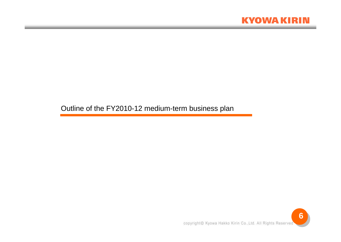

Outline of the FY2010-12 medium-term business plan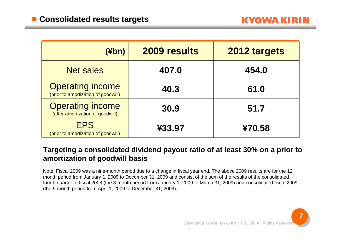| (¥bn)                                                          | 2009 results | 2012 targets |
|----------------------------------------------------------------|--------------|--------------|
| <b>Net sales</b>                                               | 407.0        | 454.0        |
| <b>Operating income</b><br>(prior to amortization of goodwill) | 40.3         | 61.0         |
| <b>Operating income</b><br>(after amortization of goodwill)    | 30.9         | 51.7         |
| <b>EPS</b><br>(prior to amortization of goodwill)              | ¥33.97       | ¥70.58       |

## **Targeting a consolidated dividend payout ratio of at least 30% on a prior to amortization of goodwill basis**

Note: Fiscal 2009 was a nine-month period due to a change in fiscal year end. The above 2009 results are for the 12 month period from January 1, 2009 to December 31, 2009 and consist of the sum of the results of the consolidated fourth quarter of fiscal 2008 (the 3-month period from January 1, 2009 to March 31, 2009) and consolidated fiscal 2009 (the 9-month period from April 1, 2009 to December 31, 2009).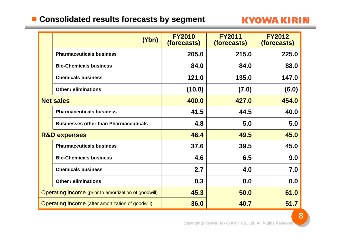## **Consolidated results forecasts by segment Consolidated results forecasts by segment**

## **KYOWA KIRIN**

|                                                      | (Hbn)                                        | <b>FY2010</b><br>(forecasts) | <b>FY2011</b><br><i>(forecasts)</i> | <b>FY2012</b><br>(forecasts) |
|------------------------------------------------------|----------------------------------------------|------------------------------|-------------------------------------|------------------------------|
|                                                      | <b>Pharmaceuticals business</b>              | 205.0                        | 215.0                               | 225.0                        |
|                                                      | <b>Bio-Chemicals business</b>                | 84.0                         | 84.0                                | 88.0                         |
|                                                      | <b>Chemicals business</b>                    | 121.0                        | 135.0                               | 147.0                        |
|                                                      | <b>Other / eliminations</b>                  | (10.0)                       | (7.0)                               | (6.0)                        |
|                                                      | <b>Net sales</b>                             | 400.0                        | 427.0                               | 454.0                        |
|                                                      | <b>Pharmaceuticals business</b>              | 41.5                         | 44.5                                | 40.0                         |
|                                                      | <b>Businesses other than Pharmaceuticals</b> | 4.8                          | 5.0                                 | 5.0                          |
|                                                      | <b>R&amp;D expenses</b>                      | 46.4                         | 49.5                                | 45.0                         |
|                                                      | <b>Pharmaceuticals business</b>              | 37.6                         | 39.5                                | 45.0                         |
|                                                      | <b>Bio-Chemicals business</b>                | 4.6                          | 6.5                                 | 9.0                          |
|                                                      | <b>Chemicals business</b>                    | 2.7                          | 4.0                                 | 7.0                          |
|                                                      | <b>Other / eliminations</b>                  | 0.3                          | 0.0                                 | 0.0                          |
| Operating income (prior to amortization of goodwill) |                                              | 45.3                         | 50.0                                | 61.0                         |
| Operating income (after amortization of goodwill)    |                                              | 36.0                         | 40.7                                | 51.7                         |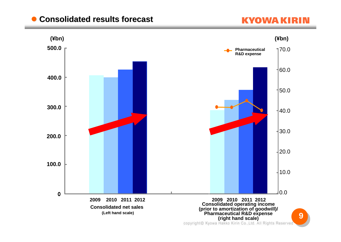#### $\bullet$ **Consolidated results forecast Consolidated results forecast**

## **KYOWA KIRIN**

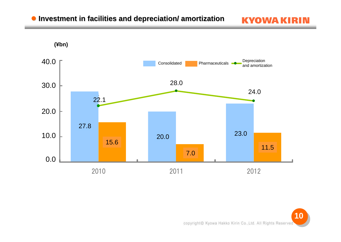## $\bullet$  **Investment in facilities and depreciation/ amortization**



**KYOWA KIRIN**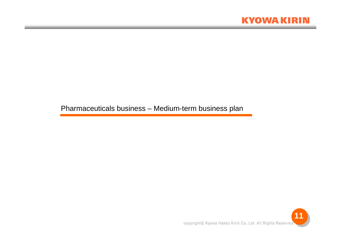

Pharmaceuticals business – Medium-term business plan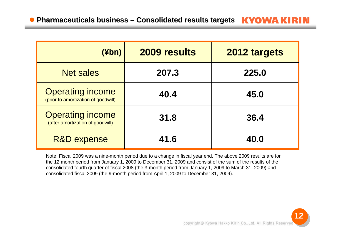| (¥bn)                                                          | 2009 results | 2012 targets |
|----------------------------------------------------------------|--------------|--------------|
| <b>Net sales</b>                                               | 207.3        | 225.0        |
| <b>Operating income</b><br>(prior to amortization of goodwill) | 40.4         | 45.0         |
| <b>Operating income</b><br>(after amortization of goodwill)    | 31.8         | 36.4         |
| <b>R&amp;D expense</b>                                         | 41.6         | 40.0         |

Note: Fiscal 2009 was a nine-month period due to a change in fiscal year end. The above 2009 results are for the 12 month period from January 1, 2009 to December 31, 2009 and consist of the sum of the results of the consolidated fourth quarter of fiscal 2008 (the 3-month period from January 1, 2009 to March 31, 2009) and consolidated fiscal 2009 (the 9-month period from April 1, 2009 to December 31, 2009).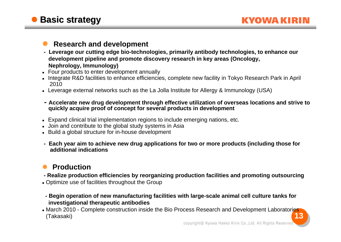#### $\bullet$ **Research and development**

- **Leverage our cutting edge bio-technologies, primarily antibody technologies, to enhance our development pipeline and promote discovery research in key areas (Oncology, Nephrology, Immunology)**
- Four products to enter development annually
- $\bullet~$  Integrate R&D facilities to enhance efficiencies, complete new facility in Tokyo Research Park in April 2010
- Leverage external networks such as the La Jolla Institute for Allergy & Immunology (USA)
- **Accelerate new drug development through effective utilization of overseas locations and strive to quickly acquire proof of concept for several products in development**
- Expand clinical trial implementation regions to include emerging nations, etc.
- Join and contribute to the global study systems in Asia
- Build a global structure for in-house development
- **Each year aim to achieve new drug applications for two or more products (including those for additional indications**

#### $\bullet$ **Production**

- **Realize production efficiencies by reorganizing production facilities and promoting outsourcing**
- Optimize use of facilities throughout the Group
- **Begin operation of new manufacturing facilities with large-scale animal cell culture tanks for investigational therapeutic antibodies**
- **13**• March 2010 - Complete construction inside the Bio Process Research and Development Laboratories (Takasaki)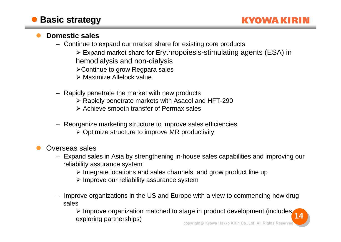#### $\bullet$ **Domestic sales**

- Continue to expand our market share for existing core products
	- Expand market share for Erythropoiesis-stimulating agents (ESA) in
	- hemodialysis and non-dialysis
	- Continue to grow Regpara sales
	- Maximize Allelock value
- Rapidly penetrate the market with new products
	- Rapidly penetrate markets with Asacol and HFT-290
	- Achieve smooth transfer of Permax sales
- Reorganize marketing structure to improve sales efficiencies
	- $\triangleright$  Optimize structure to improve MR productivity
- $\bullet$  Overseas sales
	- Expand sales in Asia by strengthening in-house sales capabilities and improving our reliability assurance system
		- $\triangleright$  Integrate locations and sales channels, and grow product line up
		- $\triangleright$  Improve our reliability assurance system
	- – Improve organizations in the US and Europe with a view to commencing new drug sales

 $\triangleright$  Improve organization matched to stage in product development (includes **14** exploring partnerships)copyright© Kyowa Hakko Kirin Co., Ltd. All Rights Reserved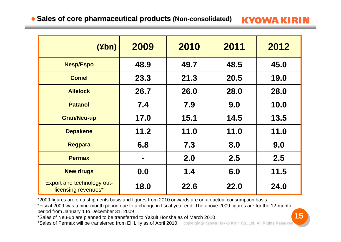## **Sales of core pharmaceutical products Sales of core pharmaceutical products (Non-consolidated) consolidated)**

**KYOWA KIRIN** 

| $(\n  4bn)$                                              | 2009 | 2010 | 2011 | 2012 |
|----------------------------------------------------------|------|------|------|------|
| <b>Nesp/Espo</b>                                         | 48.9 | 49.7 | 48.5 | 45.0 |
| <b>Coniel</b>                                            | 23.3 | 21.3 | 20.5 | 19.0 |
| <b>Allelock</b>                                          | 26.7 | 26.0 | 28.0 | 28.0 |
| <b>Patanol</b>                                           | 7.4  | 7.9  | 9.0  | 10.0 |
| <b>Gran/Neu-up</b>                                       | 17.0 | 15.1 | 14.5 | 13.5 |
| <b>Depakene</b>                                          | 11.2 | 11.0 | 11.0 | 11.0 |
| <b>Regpara</b>                                           | 6.8  | 7.3  | 8.0  | 9.0  |
| <b>Permax</b>                                            | ш    | 2.0  | 2.5  | 2.5  |
| <b>New drugs</b>                                         | 0.0  | 1.4  | 6.0  | 11.5 |
| <b>Export and technology out-</b><br>licensing revenues* | 18.0 | 22.6 | 22.0 | 24.0 |

\*2009 figures are on a shipments basis and figures from 2010 onwards are on an actual consumption basis

\*Fiscal 2009 was a nine-month period due to a change in fiscal year end. The above 2009 figures are for the 12-month period from January 1 to December 31, 2009

\*Sales of Neu-up are planned to be transferred to Yakult Honsha as of March 2010

\*Sales of Permax will be transferred from Eli Lilly as of April 2010

copyright© Kyowa Hakko Kirin Co.,Ltd. All Rights Reserved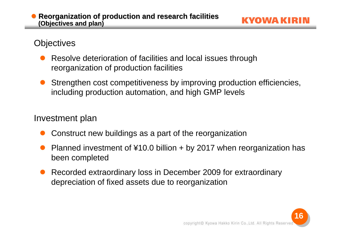#### $\bullet$ **Reorganization of production and research facilities (Objectives and plan)**

KYOWA KIR

## **Objectives**

- $\bullet$  Resolve deterioration of facilities and local issues through reorganization of production facilities
- $\bullet$  Strengthen cost competitiveness by improving production efficiencies, including production automation, and high GMP levels

## Investment plan

- $\bullet$ Construct new buildings as a part of the reorganization
- $\bullet$  Planned investment of ¥10.0 billion + by 2017 when reorganization has been completed
- $\bullet$  Recorded extraordinary loss in December 2009 for extraordinary depreciation of fixed assets due to reorganization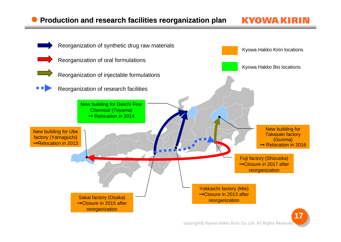KVOWA K

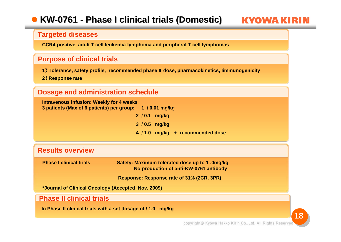#### $\bullet$ **KW-0761-Phase I clinical trials (Domestic) Phase I clinical trials (Domestic)**

KYOWA KIR

#### **Targeted diseases**

**CCR4-positive adult T cell leukemia-lymphoma and peripheral T-cell lymphomas** 

#### **Purpose of clinical trials**

**1**) **Tolerance, safety profile, recommended phase II dose, pharmacokinetics, Iimmunogenicity**

**2**) **Response rate**

#### **Dosage and administration schedule**

**Intravenous infusion: Weekly for 4 weeks 3 patients (Max of 6 patients) per group: 1 / 0.01 mg/kg 2 / 0.1 mg/kg 3 / 0.5 mg/kg 4 / 1.0 mg/kg + recommended dose**

#### **Results overview**

**Phase I clinical trials Safety: Maximum tolerated dose up to 1 .0mg/kg No production of anti-KW-0761 antibody**

**Response: Response rate of 31% (2CR, 3PR)**

**\*Journal of Clinical Oncology (Accepted Nov. 2009)**

#### **Phase II clinical trials**

**In Phase II clinical trials with a set dosage of / 1.0 mg/kg**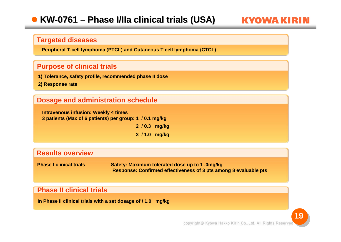#### $\bullet$ **KW-0761–Phase I/IIa clinical trials (USA) Phase I/IIa clinical trials (USA)**

#### **Targeted diseases**

**Peripheral T-cell lymphoma** (**PTCL) and Cutaneous T cell lymphoma** (**CTCL)**

#### **Purpose of clinical trials**

**1) Tolerance, safety profile, recommended phase II dose**

**2) Response rate**

#### **Dosage and administration schedule**

**Intravenous infusion: Weekly 4 times 3 patients (Max of 6 patients) per group: 1 / 0.1 mg/kg 2 / 0.3 mg/kg 3 / 1.0 mg/kg**

#### **Results overview**

**Phase I clinical trials Safety: Maximum tolerated dose up to 1 .0mg/kg Response: Confirmed effectiveness of 3 pts among 8 evaluable pts** 

#### **Phase II clinical trials**

**In Phase II clinical trials with a set dosage of / 1.0 mg/kg**

KVOWA K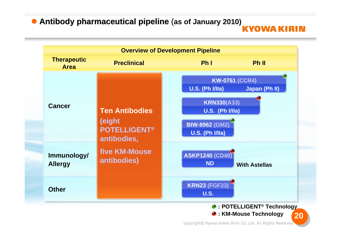## **• Antibody pharmaceutical pipeline (as of January 2010)**

KYOWA KIRIN

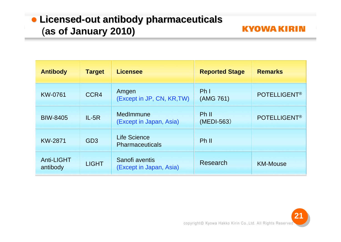## **• Licensed-out antibody pharmaceuticals** (**as of January 2010)**

| <b>Antibody</b>               | <b>Target</b>   | <b>Licensee</b>                           | <b>Reported Stage</b>        | <b>Remarks</b>      |
|-------------------------------|-----------------|-------------------------------------------|------------------------------|---------------------|
| KW-0761                       | CCR4            | Amgen<br>(Except in JP, CN, KR, TW)       | Ph <sub>l</sub><br>(AMG 761) | <b>POTELLIGENT®</b> |
| <b>BIW-8405</b>               | $IL-5R$         | MedImmune<br>(Except in Japan, Asia)      | Ph II<br>(MEDI-563)          | <b>POTELLIGENT®</b> |
| <b>KW-2871</b>                | GD <sub>3</sub> | Life Science<br><b>Pharmaceuticals</b>    | Ph II                        |                     |
| <b>Anti-LIGHT</b><br>antibody | <b>LIGHT</b>    | Sanofi aventis<br>(Except in Japan, Asia) | Research                     | <b>KM-Mouse</b>     |

**21**

**KYOWA KIRIN**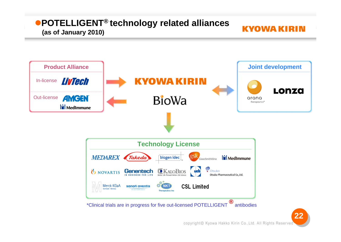#### **POTELLIGENT® technology related alliances** KYOWA KIRIN **(as of January 2010)**

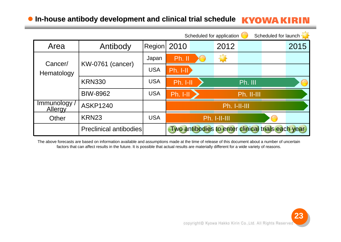## **In-house antibody development and clinical trial schedule house antibody development and clinical trial schedule**

|                                |                               |            |            | Scheduled for application |                   | Scheduled for launch                              |      |
|--------------------------------|-------------------------------|------------|------------|---------------------------|-------------------|---------------------------------------------------|------|
| Area                           | Antibody                      | Recation   | 2010       | 2012                      |                   |                                                   | 2015 |
| Cancer/                        |                               | Japan      | Ph. II     | Ð                         |                   |                                                   |      |
| Hematology                     | <b>KW-0761 (cancer)</b>       | <b>USA</b> | $Ph. I-II$ |                           |                   |                                                   |      |
|                                | <b>KRN330</b>                 | <b>USA</b> | Ph. I-II   |                           | Ph. III           |                                                   |      |
|                                | <b>BIW-8962</b>               | <b>USA</b> | Ph. I-II   |                           | <b>Ph. II-III</b> |                                                   |      |
| Immunology /<br><b>Allergy</b> | <b>ASKP1240</b>               |            |            | Ph. I-II-III              |                   |                                                   |      |
| Other                          | KRN23                         | <b>USA</b> |            | Ph. I-II-III              |                   |                                                   |      |
|                                | <b>Preclinical antibodies</b> |            |            |                           |                   | Two antibodies to enter clinical trials each year |      |

The above forecasts are based on information available and assumptions made at the time of release of this document about a number of uncertain factors that can affect results in the future. It is possible that actual results are materially different for a wide variety of reasons.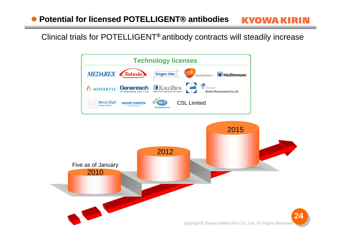Clinical trials for POTELLIGENT**®** antibody contracts will steadily increase

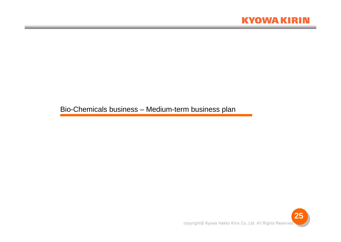

Bio-Chemicals business – Medium-term business plan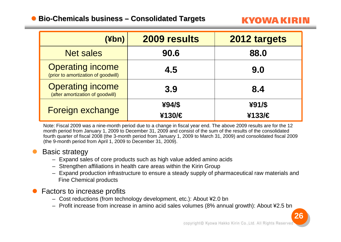#### $\bullet$ **Bio-Chemicals business – Consolidated Targets**

KVOWA KIR

| $(\n  4bn)$                                                    | 2009 results     | 2012 targets     |
|----------------------------------------------------------------|------------------|------------------|
| <b>Net sales</b>                                               | 90.6             | 88.0             |
| <b>Operating income</b><br>(prior to amortization of goodwill) | 4.5              | 9.0              |
| <b>Operating income</b><br>(after amortization of goodwill)    | 3.9              | 8.4              |
| Foreign exchange                                               | ¥94/\$<br>¥130/€ | ¥91/\$<br>¥133/€ |

Note: Fiscal 2009 was a nine-month period due to a change in fiscal year end. The above 2009 results are for the 12 month period from January 1, 2009 to December 31, 2009 and consist of the sum of the results of the consolidated fourth quarter of fiscal 2008 (the 3-month period from January 1, 2009 to March 31, 2009) and consolidated fiscal 2009 (the 9-month period from April 1, 2009 to December 31, 2009).

#### $\bullet$ Basic strategy

- Expand sales of core products such as high value added amino acids
- Strengthen affiliations in health care areas within the Kirin Group
- Expand production infrastructure to ensure a steady supply of pharmaceutical raw materials and Fine Chemical products

#### $\bullet$ Factors to increase profits

- Cost reductions (from technology development, etc.): About ¥2.0 bn
- Profit increase from increase in amino acid sales volumes (8% annual growth): About ¥2.5 bn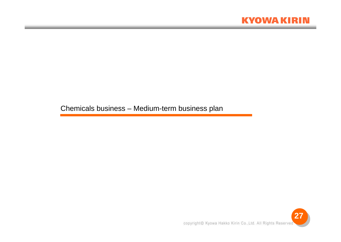

Chemicals business – Medium-term business plan

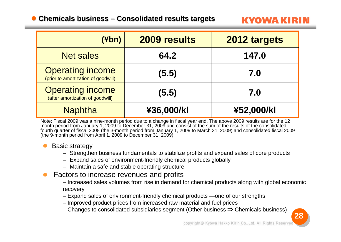## **Chemicals business – Consolidated results targets**

KYOWA KIR

| (Hbn)                                                          | 2009 results | 2012 targets |
|----------------------------------------------------------------|--------------|--------------|
| <b>Net sales</b>                                               | 64.2         | 147.0        |
| <b>Operating income</b><br>(prior to amortization of goodwill) | (5.5)        | 7.0          |
| <b>Operating income</b><br>(after amortization of goodwill)    | (5.5)        | 7.0          |
| <b>Naphtha</b>                                                 | ¥36,000/kl   | ¥52,000/kl   |

Note: Fiscal 2009 was a nine-month period due to a change in fiscal year end. The above 2009 results are for the 12 month period from January 1, 2009 to December 31, 2009 and consist of the sum of the results of the consolidated fourth quarter of fiscal 2008 (the 3-month period from January 1, 2009 to March 31, 2009) and consolidated fiscal 2009 (the 9-month period from April 1, 2009 to December 31, 2009).

#### $\bullet$ Basic strategy

- Strengthen business fundamentals to stabilize profits and expand sales of core products
- Expand sales of environment-friendly chemical products globally
- Maintain a safe and stable operating structure
- $\bullet$  Factors to increase revenues and profits
	- Increased sales volumes from rise in demand for chemical products along with global economic recovery
	- Expand sales of environment-friendly chemical products —one of our strengths
	- Improved product prices from increased raw material and fuel prices
	- Changes to consolidated subsidiaries segment (Other business ⇒ Chemicals business)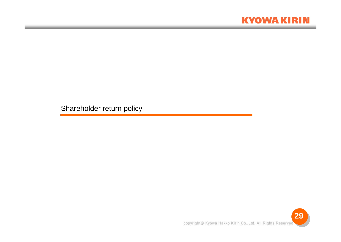## **KYOWA KIRIN**

Shareholder return policy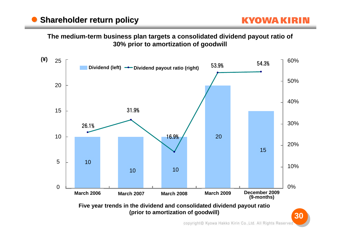**The medium-term business plan targets a consolidated dividend payout ratio of 30% prior to amortization of goodwill**

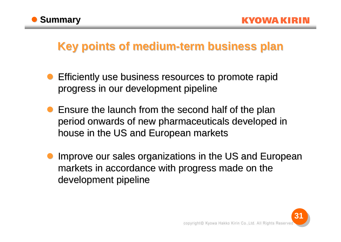

## **Key points of medium-term business plan**

- $\bullet$  Efficiently use business resources to promote rapid Efficiently use business resources to promote rapid progress in our development pipeline
- **Ensure the launch from the second half of the plan** period onwards of new pharmaceuticals developed in house in the US and European markets
- $\bullet$ Improve our sales organizations in the US and European markets in accordance with progress made on the development pipeline